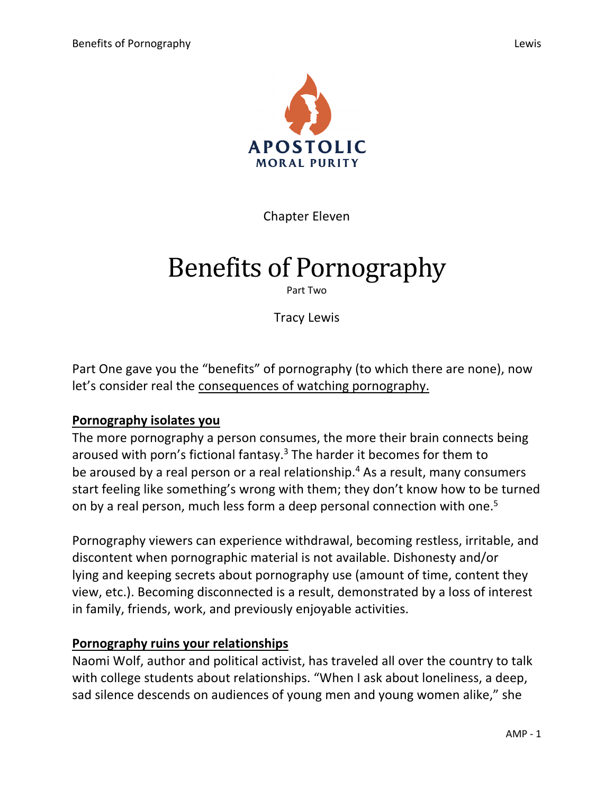

Chapter Eleven

# Benefits of Pornography

Part Two

Tracy Lewis

Part One gave you the "benefits" of pornography (to which there are none), now let's consider real the consequences of watching pornography.

## **Pornography isolates you**

The more pornography a person consumes, the more their brain connects being aroused with porn's fictional fantasy.<sup>3</sup> The harder it becomes for them to be aroused by a real person or a real relationship. <sup>4</sup> As a result, many consumers start feeling like something's wrong with them; they don't know how to be turned on by a real person, much less form a deep personal connection with one.<sup>5</sup>

Pornography viewers can experience withdrawal, becoming restless, irritable, and discontent when pornographic material is not available. Dishonesty and/or lying and keeping secrets about pornography use (amount of time, content they view, etc.). Becoming disconnected is a result, demonstrated by a loss of interest in family, friends, work, and previously enjoyable activities.

## **Pornography ruins your relationships**

Naomi Wolf, author and political activist, has traveled all over the country to talk with college students about relationships. "When I ask about loneliness, a deep, sad silence descends on audiences of young men and young women alike," she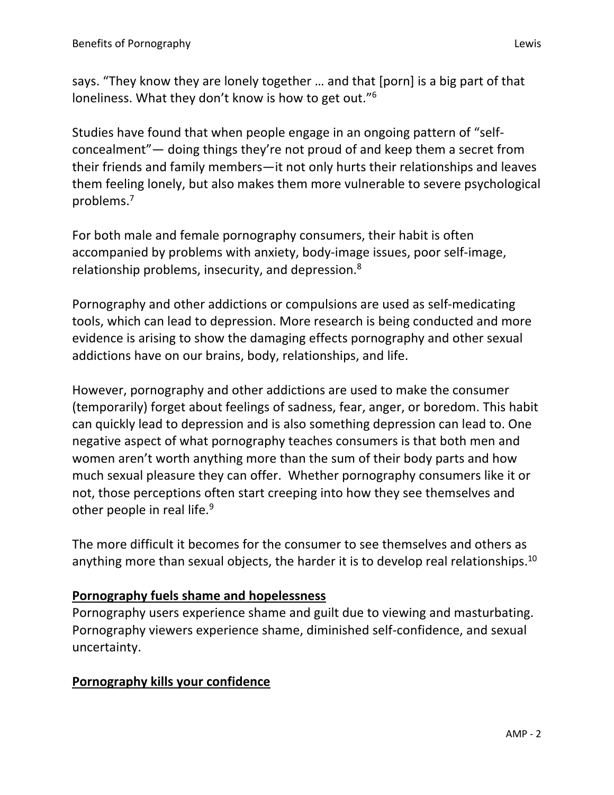says. "They know they are lonely together … and that [porn] is a big part of that loneliness. What they don't know is how to get out."6

Studies have found that when people engage in an ongoing pattern of "selfconcealment"— doing things they're not proud of and keep them a secret from their friends and family members—it not only hurts their relationships and leaves them feeling lonely, but also makes them more vulnerable to severe psychological problems.7

For both male and female pornography consumers, their habit is often accompanied by problems with anxiety, body-image issues, poor self-image, relationship problems, insecurity, and depression.8

Pornography and other addictions or compulsions are used as self-medicating tools, which can lead to depression. More research is being conducted and more evidence is arising to show the damaging effects pornography and other sexual addictions have on our brains, body, relationships, and life.

However, pornography and other addictions are used to make the consumer (temporarily) forget about feelings of sadness, fear, anger, or boredom. This habit can quickly lead to depression and is also something depression can lead to. One negative aspect of what pornography teaches consumers is that both men and women aren't worth anything more than the sum of their body parts and how much sexual pleasure they can offer. Whether pornography consumers like it or not, those perceptions often start creeping into how they see themselves and other people in real life.<sup>9</sup>

The more difficult it becomes for the consumer to see themselves and others as anything more than sexual objects, the harder it is to develop real relationships.<sup>10</sup>

# **Pornography fuels shame and hopelessness**

Pornography users experience shame and guilt due to viewing and masturbating. Pornography viewers experience shame, diminished self-confidence, and sexual uncertainty.

# **Pornography kills your confidence**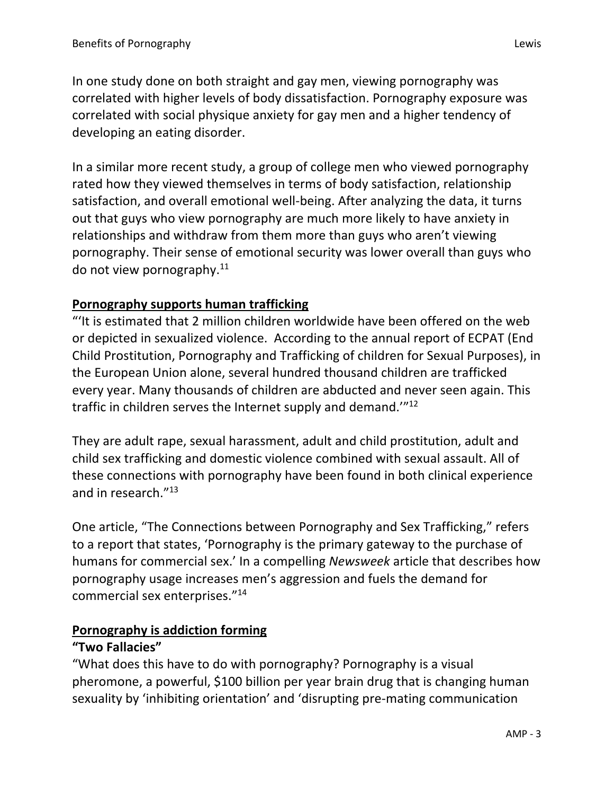In one study done on both straight and gay men, viewing pornography was correlated with higher levels of body dissatisfaction. Pornography exposure was correlated with social physique anxiety for gay men and a higher tendency of

developing an eating disorder.

In a similar more recent study, a group of college men who viewed pornography rated how they viewed themselves in terms of body satisfaction, relationship satisfaction, and overall emotional well-being. After analyzing the data, it turns out that guys who view pornography are much more likely to have anxiety in relationships and withdraw from them more than guys who aren't viewing pornography. Their sense of emotional security was lower overall than guys who do not view pornography.11

# **Pornography supports human trafficking**

"'It is estimated that 2 million children worldwide have been offered on the web or depicted in sexualized violence. According to the annual report of ECPAT (End Child Prostitution, Pornography and Trafficking of children for Sexual Purposes), in the European Union alone, several hundred thousand children are trafficked every year. Many thousands of children are abducted and never seen again. This traffic in children serves the Internet supply and demand.'"12

They are adult rape, sexual harassment, adult and child prostitution, adult and child sex trafficking and domestic violence combined with sexual assault. All of these connections with pornography have been found in both clinical experience and in research."13

One article, "The Connections between Pornography and Sex Trafficking," refers to a report that states, 'Pornography is the primary gateway to the purchase of humans for commercial sex.' In a compelling *Newsweek* article that describes how pornography usage increases men's aggression and fuels the demand for commercial sex enterprises."14

## **Pornography is addiction forming**

## **"Two Fallacies"**

"What does this have to do with pornography? Pornography is a visual pheromone, a powerful, \$100 billion per year brain drug that is changing human sexuality by 'inhibiting orientation' and 'disrupting pre-mating communication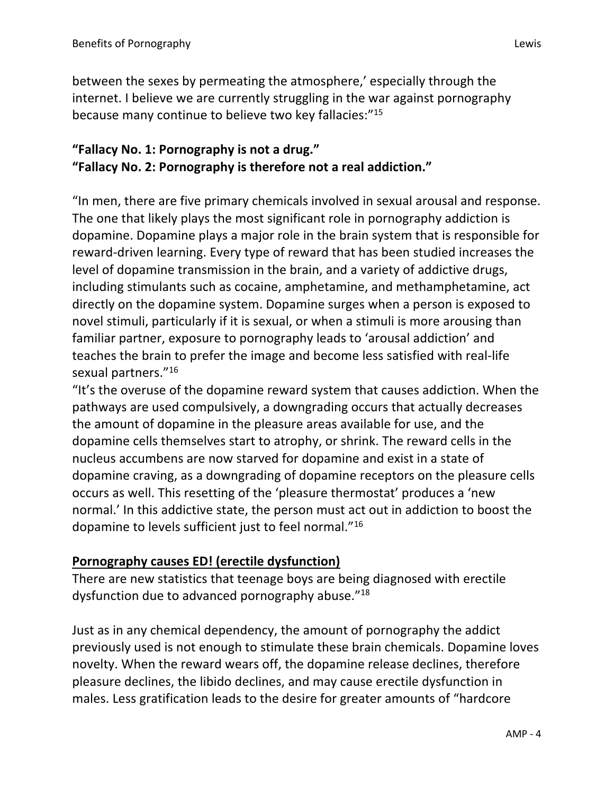between the sexes by permeating the atmosphere,' especially through the internet. I believe we are currently struggling in the war against pornography because many continue to believe two key fallacies:"15

# **"Fallacy No. 1: Pornography is not a drug." "Fallacy No. 2: Pornography is therefore not a real addiction."**

"In men, there are five primary chemicals involved in sexual arousal and response. The one that likely plays the most significant role in pornography addiction is dopamine. Dopamine plays a major role in the brain system that is responsible for reward-driven learning. Every type of reward that has been studied increases the level of dopamine transmission in the brain, and a variety of addictive drugs, including stimulants such as cocaine, amphetamine, and methamphetamine, act directly on the dopamine system. Dopamine surges when a person is exposed to novel stimuli, particularly if it is sexual, or when a stimuli is more arousing than familiar partner, exposure to pornography leads to 'arousal addiction' and teaches the brain to prefer the image and become less satisfied with real-life sexual partners."16

"It's the overuse of the dopamine reward system that causes addiction. When the pathways are used compulsively, a downgrading occurs that actually decreases the amount of dopamine in the pleasure areas available for use, and the dopamine cells themselves start to atrophy, or shrink. The reward cells in the nucleus accumbens are now starved for dopamine and exist in a state of dopamine craving, as a downgrading of dopamine receptors on the pleasure cells occurs as well. This resetting of the 'pleasure thermostat' produces a 'new normal.' In this addictive state, the person must act out in addiction to boost the dopamine to levels sufficient just to feel normal."16

# **Pornography causes ED! (erectile dysfunction)**

There are new statistics that teenage boys are being diagnosed with erectile dysfunction due to advanced pornography abuse."18

Just as in any chemical dependency, the amount of pornography the addict previously used is not enough to stimulate these brain chemicals. Dopamine loves novelty. When the reward wears off, the dopamine release declines, therefore pleasure declines, the libido declines, and may cause erectile dysfunction in males. Less gratification leads to the desire for greater amounts of "hardcore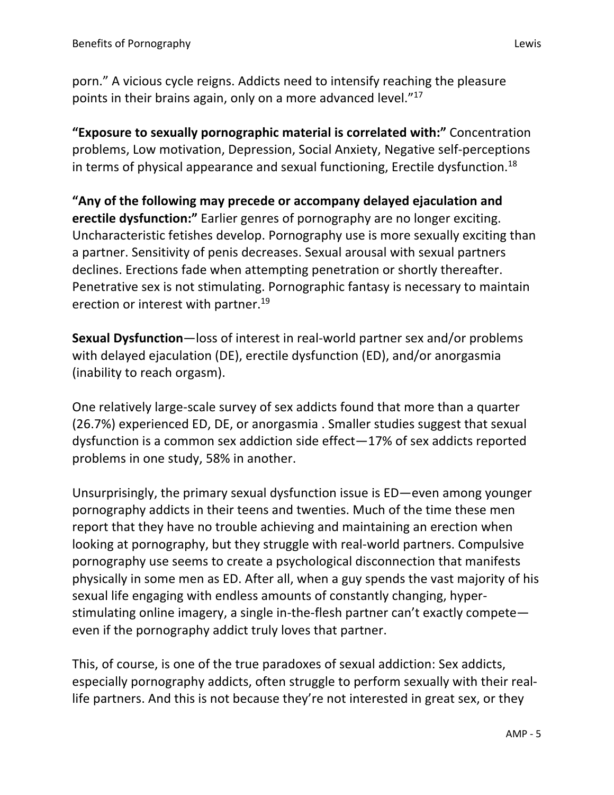porn." A vicious cycle reigns. Addicts need to intensify reaching the pleasure points in their brains again, only on a more advanced level."17

**"Exposure to sexually pornographic material is correlated with:"** Concentration problems, Low motivation, Depression, Social Anxiety, Negative self-perceptions in terms of physical appearance and sexual functioning, Erectile dysfunction.<sup>18</sup>

**"Any of the following may precede or accompany delayed ejaculation and erectile dysfunction:"** Earlier genres of pornography are no longer exciting. Uncharacteristic fetishes develop. Pornography use is more sexually exciting than a partner. Sensitivity of penis decreases. Sexual arousal with sexual partners declines. Erections fade when attempting penetration or shortly thereafter. Penetrative sex is not stimulating. Pornographic fantasy is necessary to maintain erection or interest with partner.<sup>19</sup>

**Sexual Dysfunction**—loss of interest in real-world partner sex and/or problems with delayed ejaculation (DE), erectile dysfunction (ED), and/or anorgasmia (inability to reach orgasm).

One relatively large-scale survey of sex addicts found that more than a quarter (26.7%) experienced ED, DE, or anorgasmia . Smaller studies suggest that sexual dysfunction is a common sex addiction side effect—17% of sex addicts reported problems in one study, 58% in another.

Unsurprisingly, the primary sexual dysfunction issue is ED—even among younger pornography addicts in their teens and twenties. Much of the time these men report that they have no trouble achieving and maintaining an erection when looking at pornography, but they struggle with real-world partners. Compulsive pornography use seems to create a psychological disconnection that manifests physically in some men as ED. After all, when a guy spends the vast majority of his sexual life engaging with endless amounts of constantly changing, hyperstimulating online imagery, a single in-the-flesh partner can't exactly compete even if the pornography addict truly loves that partner.

This, of course, is one of the true paradoxes of sexual addiction: Sex addicts, especially pornography addicts, often struggle to perform sexually with their reallife partners. And this is not because they're not interested in great sex, or they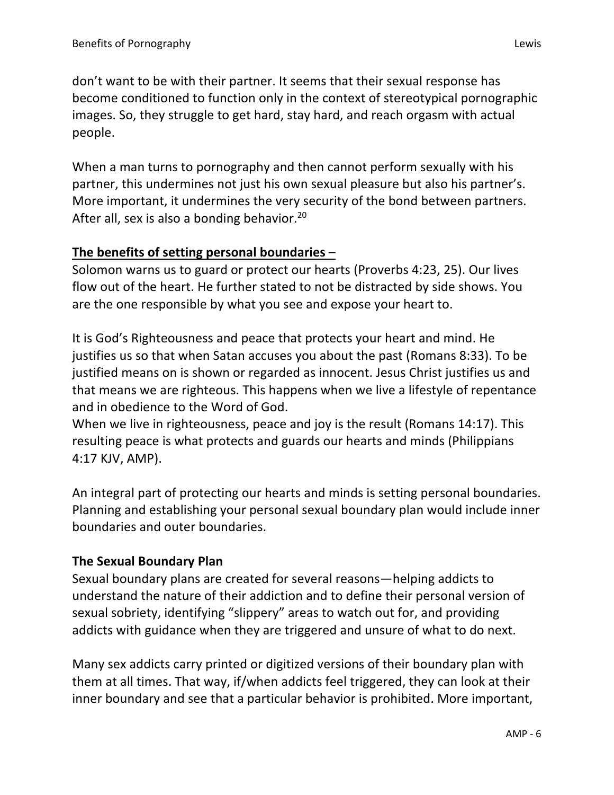don't want to be with their partner. It seems that their sexual response has become conditioned to function only in the context of stereotypical pornographic images. So, they struggle to get hard, stay hard, and reach orgasm with actual people.

When a man turns to pornography and then cannot perform sexually with his partner, this undermines not just his own sexual pleasure but also his partner's. More important, it undermines the very security of the bond between partners. After all, sex is also a bonding behavior.<sup>20</sup>

## **The benefits of setting personal boundaries** –

Solomon warns us to guard or protect our hearts (Proverbs 4:23, 25). Our lives flow out of the heart. He further stated to not be distracted by side shows. You are the one responsible by what you see and expose your heart to.

It is God's Righteousness and peace that protects your heart and mind. He justifies us so that when Satan accuses you about the past (Romans 8:33). To be justified means on is shown or regarded as innocent. Jesus Christ justifies us and that means we are righteous. This happens when we live a lifestyle of repentance and in obedience to the Word of God.

When we live in righteousness, peace and joy is the result (Romans 14:17). This resulting peace is what protects and guards our hearts and minds (Philippians 4:17 KJV, AMP).

An integral part of protecting our hearts and minds is setting personal boundaries. Planning and establishing your personal sexual boundary plan would include inner boundaries and outer boundaries.

# **The Sexual Boundary Plan**

Sexual boundary plans are created for several reasons—helping addicts to understand the nature of their addiction and to define their personal version of sexual sobriety, identifying "slippery" areas to watch out for, and providing addicts with guidance when they are triggered and unsure of what to do next.

Many sex addicts carry printed or digitized versions of their boundary plan with them at all times. That way, if/when addicts feel triggered, they can look at their inner boundary and see that a particular behavior is prohibited. More important,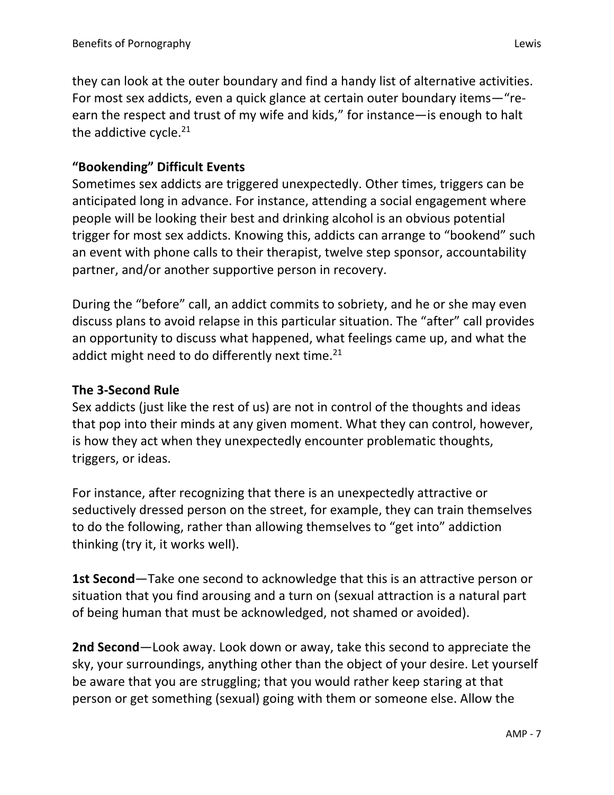they can look at the outer boundary and find a handy list of alternative activities. For most sex addicts, even a quick glance at certain outer boundary items—"reearn the respect and trust of my wife and kids," for instance—is enough to halt the addictive cycle. $21$ 

## **"Bookending" Difficult Events**

Sometimes sex addicts are triggered unexpectedly. Other times, triggers can be anticipated long in advance. For instance, attending a social engagement where people will be looking their best and drinking alcohol is an obvious potential trigger for most sex addicts. Knowing this, addicts can arrange to "bookend" such an event with phone calls to their therapist, twelve step sponsor, accountability partner, and/or another supportive person in recovery.

During the "before" call, an addict commits to sobriety, and he or she may even discuss plans to avoid relapse in this particular situation. The "after" call provides an opportunity to discuss what happened, what feelings came up, and what the addict might need to do differently next time. $21$ 

### **The 3-Second Rule**

Sex addicts (just like the rest of us) are not in control of the thoughts and ideas that pop into their minds at any given moment. What they can control, however, is how they act when they unexpectedly encounter problematic thoughts, triggers, or ideas.

For instance, after recognizing that there is an unexpectedly attractive or seductively dressed person on the street, for example, they can train themselves to do the following, rather than allowing themselves to "get into" addiction thinking (try it, it works well).

**1st Second**—Take one second to acknowledge that this is an attractive person or situation that you find arousing and a turn on (sexual attraction is a natural part of being human that must be acknowledged, not shamed or avoided).

**2nd Second**—Look away. Look down or away, take this second to appreciate the sky, your surroundings, anything other than the object of your desire. Let yourself be aware that you are struggling; that you would rather keep staring at that person or get something (sexual) going with them or someone else. Allow the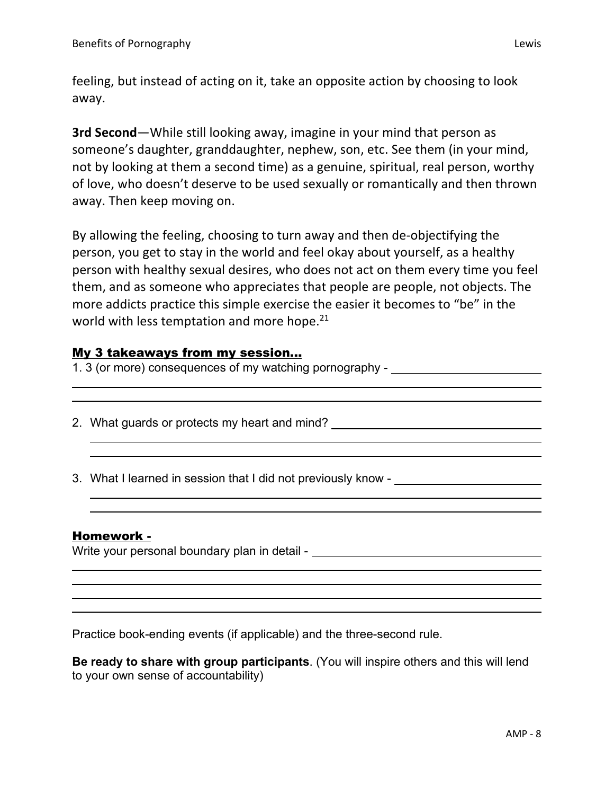feeling, but instead of acting on it, take an opposite action by choosing to look away.

**3rd Second**—While still looking away, imagine in your mind that person as someone's daughter, granddaughter, nephew, son, etc. See them (in your mind, not by looking at them a second time) as a genuine, spiritual, real person, worthy of love, who doesn't deserve to be used sexually or romantically and then thrown away. Then keep moving on.

By allowing the feeling, choosing to turn away and then de-objectifying the person, you get to stay in the world and feel okay about yourself, as a healthy person with healthy sexual desires, who does not act on them every time you feel them, and as someone who appreciates that people are people, not objects. The more addicts practice this simple exercise the easier it becomes to "be" in the world with less temptation and more hope.<sup>21</sup>

#### My 3 takeaways from my session...

1. 3 (or more) consequences of my watching pornography -

- 2. What guards or protects my heart and mind? \_\_\_\_\_\_\_\_\_\_\_\_\_\_\_\_\_\_\_\_\_\_\_\_\_\_\_\_\_\_\_\_\_\_
- 3. What I learned in session that I did not previously know -

#### Homework -

Write your personal boundary plan in detail -

Practice book-ending events (if applicable) and the three-second rule.

**Be ready to share with group participants**. (You will inspire others and this will lend to your own sense of accountability)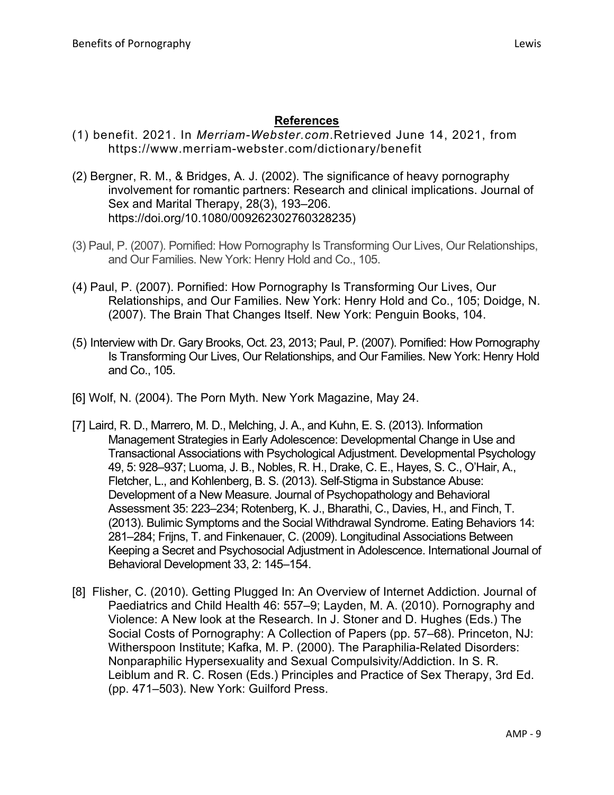#### **References**

- (1) benefit. 2021. In *Merriam-Webster.com*.Retrieved June 14, 2021, from https://www.merriam-webster.com/dictionary/benefit
- (2) Bergner, R. M., & Bridges, A. J. (2002). The significance of heavy pornography involvement for romantic partners: Research and clinical implications. Journal of Sex and Marital Therapy, 28(3), 193–206. https://doi.org/10.1080/009262302760328235)
- (3) Paul, P. (2007). Pornified: How Pornography Is Transforming Our Lives, Our Relationships, and Our Families. New York: Henry Hold and Co., 105.
- (4) Paul, P. (2007). Pornified: How Pornography Is Transforming Our Lives, Our Relationships, and Our Families. New York: Henry Hold and Co., 105; Doidge, N. (2007). The Brain That Changes Itself. New York: Penguin Books, 104.
- (5) Interview with Dr. Gary Brooks, Oct. 23, 2013; Paul, P. (2007). Pornified: How Pornography Is Transforming Our Lives, Our Relationships, and Our Families. New York: Henry Hold and Co., 105.
- [6] Wolf, N. (2004). The Porn Myth. New York Magazine, May 24.
- [7] Laird, R. D., Marrero, M. D., Melching, J. A., and Kuhn, E. S. (2013). Information Management Strategies in Early Adolescence: Developmental Change in Use and Transactional Associations with Psychological Adjustment. Developmental Psychology 49, 5: 928–937; Luoma, J. B., Nobles, R. H., Drake, C. E., Hayes, S. C., O'Hair, A., Fletcher, L., and Kohlenberg, B. S. (2013). Self-Stigma in Substance Abuse: Development of a New Measure. Journal of Psychopathology and Behavioral Assessment 35: 223–234; Rotenberg, K. J., Bharathi, C., Davies, H., and Finch, T. (2013). Bulimic Symptoms and the Social Withdrawal Syndrome. Eating Behaviors 14: 281–284; Frijns, T. and Finkenauer, C. (2009). Longitudinal Associations Between Keeping a Secret and Psychosocial Adjustment in Adolescence. International Journal of Behavioral Development 33, 2: 145–154.
- [8] Flisher, C. (2010). Getting Plugged In: An Overview of Internet Addiction. Journal of Paediatrics and Child Health 46: 557–9; Layden, M. A. (2010). Pornography and Violence: A New look at the Research. In J. Stoner and D. Hughes (Eds.) The Social Costs of Pornography: A Collection of Papers (pp. 57–68). Princeton, NJ: Witherspoon Institute; Kafka, M. P. (2000). The Paraphilia-Related Disorders: Nonparaphilic Hypersexuality and Sexual Compulsivity/Addiction. In S. R. Leiblum and R. C. Rosen (Eds.) Principles and Practice of Sex Therapy, 3rd Ed. (pp. 471–503). New York: Guilford Press.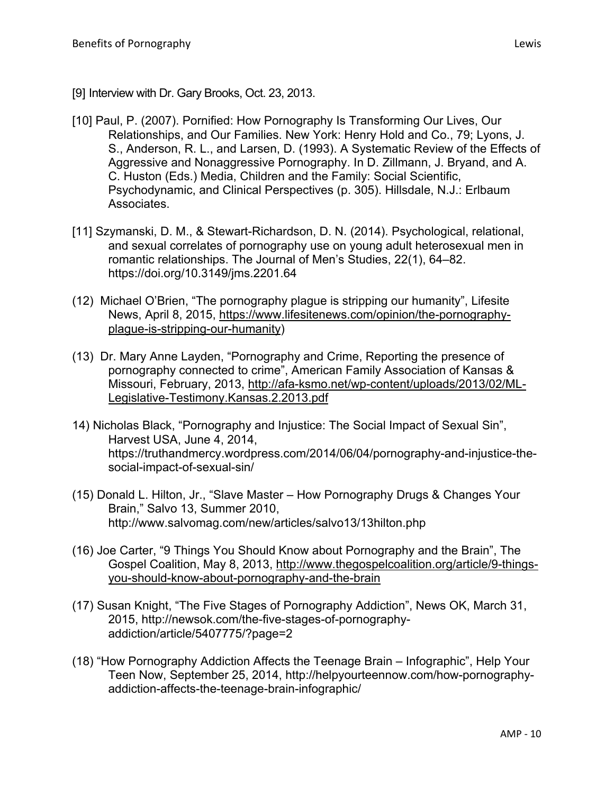[9] Interview with Dr. Gary Brooks, Oct. 23, 2013.

- [10] Paul, P. (2007). Pornified: How Pornography Is Transforming Our Lives, Our Relationships, and Our Families. New York: Henry Hold and Co., 79; Lyons, J. S., Anderson, R. L., and Larsen, D. (1993). A Systematic Review of the Effects of Aggressive and Nonaggressive Pornography. In D. Zillmann, J. Bryand, and A. C. Huston (Eds.) Media, Children and the Family: Social Scientific, Psychodynamic, and Clinical Perspectives (p. 305). Hillsdale, N.J.: Erlbaum Associates.
- [11] Szymanski, D. M., & Stewart-Richardson, D. N. (2014). Psychological, relational, and sexual correlates of pornography use on young adult heterosexual men in romantic relationships. The Journal of Men's Studies, 22(1), 64–82. https://doi.org/10.3149/jms.2201.64
- (12) Michael O'Brien, "The pornography plague is stripping our humanity", Lifesite News, April 8, 2015, https://www.lifesitenews.com/opinion/the-pornographyplague-is-stripping-our-humanity)
- (13) Dr. Mary Anne Layden, "Pornography and Crime, Reporting the presence of pornography connected to crime", American Family Association of Kansas & Missouri, February, 2013, http://afa-ksmo.net/wp-content/uploads/2013/02/ML-Legislative-Testimony.Kansas.2.2013.pdf
- 14) Nicholas Black, "Pornography and Injustice: The Social Impact of Sexual Sin", Harvest USA, June 4, 2014, https://truthandmercy.wordpress.com/2014/06/04/pornography-and-injustice-thesocial-impact-of-sexual-sin/
- (15) Donald L. Hilton, Jr., "Slave Master How Pornography Drugs & Changes Your Brain," Salvo 13, Summer 2010, http://www.salvomag.com/new/articles/salvo13/13hilton.php
- (16) Joe Carter, "9 Things You Should Know about Pornography and the Brain", The Gospel Coalition, May 8, 2013, http://www.thegospelcoalition.org/article/9-thingsyou-should-know-about-pornography-and-the-brain
- (17) Susan Knight, "The Five Stages of Pornography Addiction", News OK, March 31, 2015, http://newsok.com/the-five-stages-of-pornographyaddiction/article/5407775/?page=2
- (18) "How Pornography Addiction Affects the Teenage Brain Infographic", Help Your Teen Now, September 25, 2014, http://helpyourteennow.com/how-pornographyaddiction-affects-the-teenage-brain-infographic/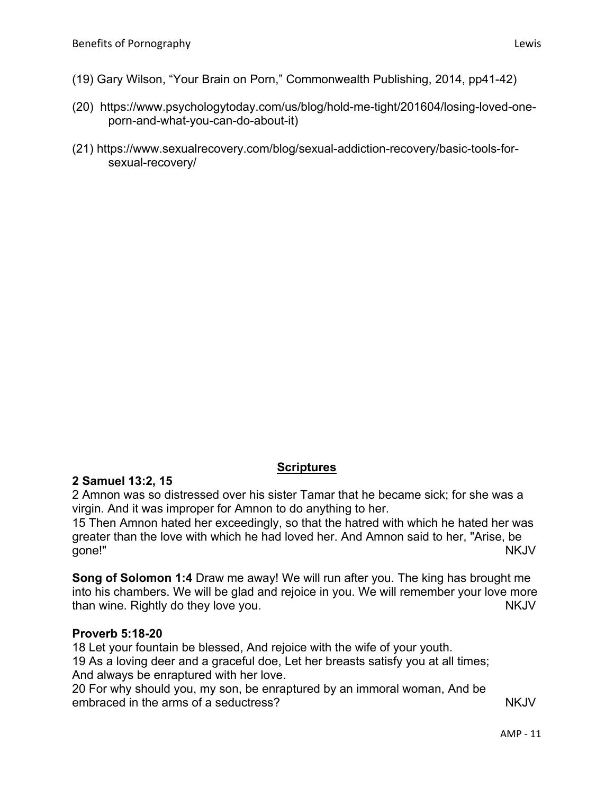- (19) Gary Wilson, "Your Brain on Porn," Commonwealth Publishing, 2014, pp41-42)
- (20) https://www.psychologytoday.com/us/blog/hold-me-tight/201604/losing-loved-oneporn-and-what-you-can-do-about-it)
- (21) https://www.sexualrecovery.com/blog/sexual-addiction-recovery/basic-tools-forsexual-recovery/

#### **Scriptures**

#### **2 Samuel 13:2, 15**

2 Amnon was so distressed over his sister Tamar that he became sick; for she was a virgin. And it was improper for Amnon to do anything to her.

15 Then Amnon hated her exceedingly, so that the hatred with which he hated her was greater than the love with which he had loved her. And Amnon said to her, "Arise, be gone!" NKJV

**Song of Solomon 1:4** Draw me away! We will run after you. The king has brought me into his chambers. We will be glad and rejoice in you. We will remember your love more than wine. Rightly do they love you. NKJV

#### **Proverb 5:18-20**

18 Let your fountain be blessed, And rejoice with the wife of your youth. 19 As a loving deer and a graceful doe, Let her breasts satisfy you at all times; And always be enraptured with her love.

20 For why should you, my son, be enraptured by an immoral woman, And be embraced in the arms of a seductress? NKJV

AMP - 11